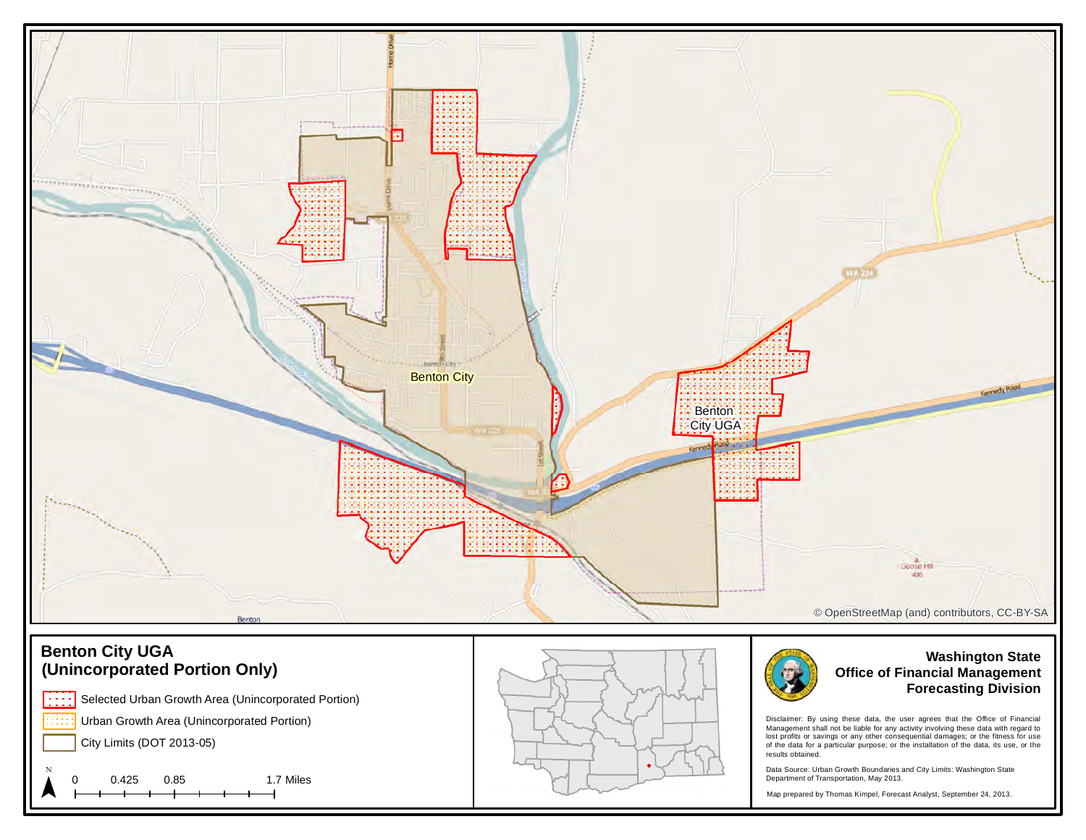

#### **(Unincorporated Portion Only) Benton City UGA Washington State**

**THE** Selected Urban Growth Area (Unincorporated Portion) Urban Growth Area (Unincorporated Portion)

City Limits (DOT 2013-05)

 $\uparrow$  0 0.425 0.85 1.7 Miles



### **Office of Financial Management Forecasting Division**

Disclaimer: By using these data, the user agrees that the Office of Financial Management shall not be liable for any activity involving these data with regard to lost profits or savings or any other consequential damages; or the fitness for use of the data for a particular purpose; or the installation of the data, its use, or the results obtained.

Data Source: Urban Growth Boundaries and City Limits: Washington State Department of Transportation, May 2013.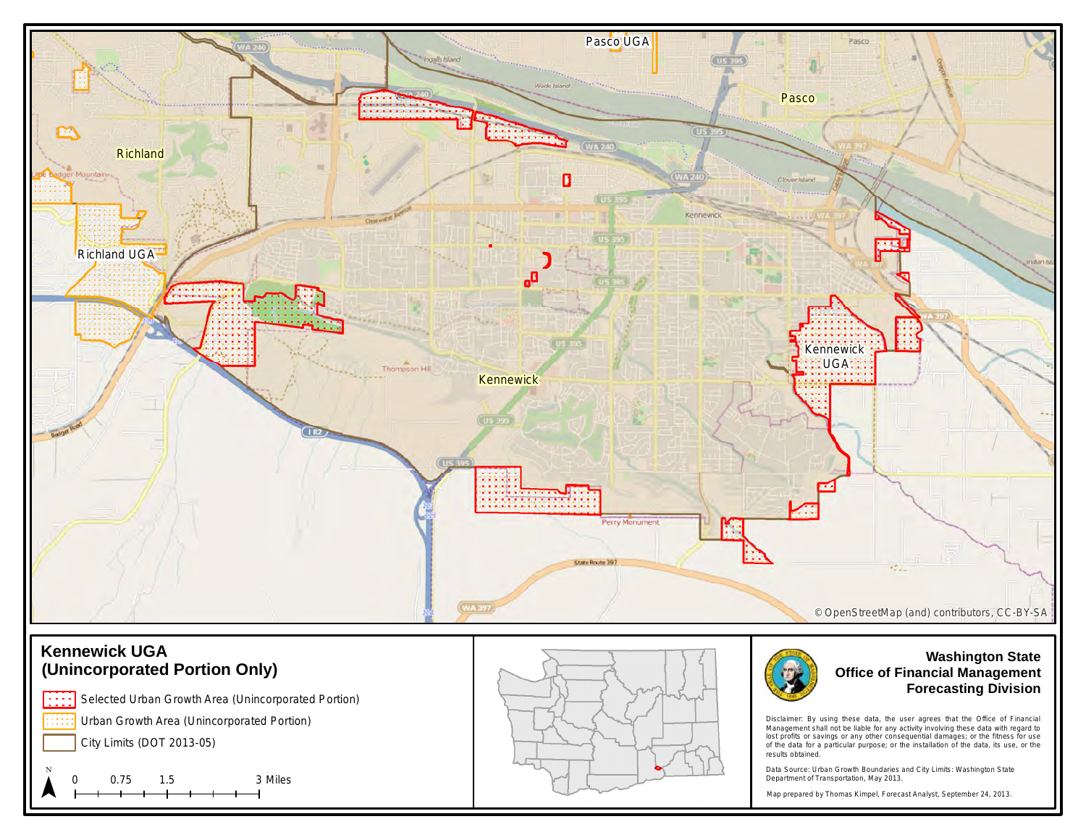

# **(Unincorporated Portion Only)**

mm Selected Urban Growth Area (Unincorporated Portion) Urban Growth Area (Unincorporated Portion)

City Limits (DOT 2013-05)

 $\uparrow$  0 0.75 1.5 3 Miles



### **Office of Financial Management Forecasting Division**

Disclaimer: By using these data, the user agrees that the Office of Financial Management shall not be liable for any activity involving these data with regard to lost profits or savings or any other consequential damages; or the fitness for use of the data for a particular purpose; or the installation of the data, its use, or the results obtained.

Data Source: Urban Growth Boundaries and City Limits: Washington State Department of Transportation, May 2013.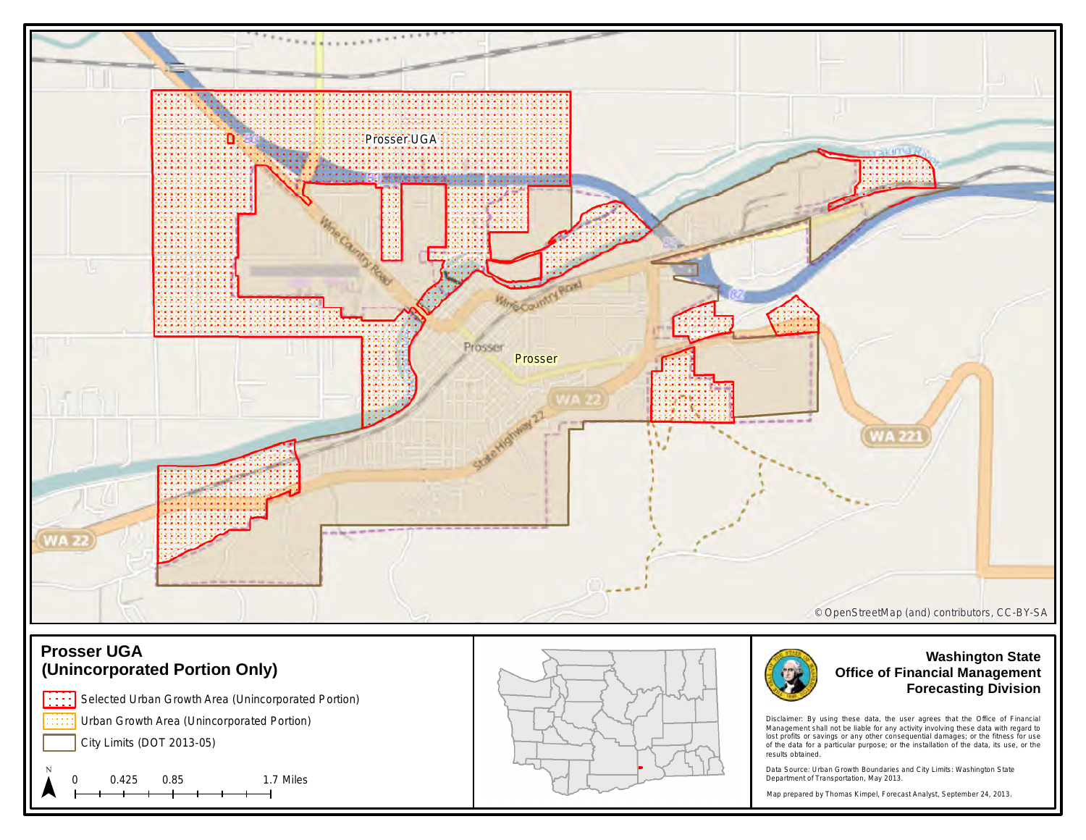

## **(Unincorporated Portion Only)**

m Selected Urban Growth Area (Unincorporated Portion) Urban Growth Area (Unincorporated Portion)

City Limits (DOT 2013-05)

 $\uparrow$  0 0.425 0.85 1.7 Miles



### **Office of Financial Management Forecasting Division**

Disclaimer: By using these data, the user agrees that the Office of Financial Management shall not be liable for any activity involving these data with regard to lost profits or savings or any other consequential damages; or the fitness for use of the data for a particular purpose; or the installation of the data, its use, or the results obtained.

Data Source: Urban Growth Boundaries and City Limits: Washington State Department of Transportation, May 2013.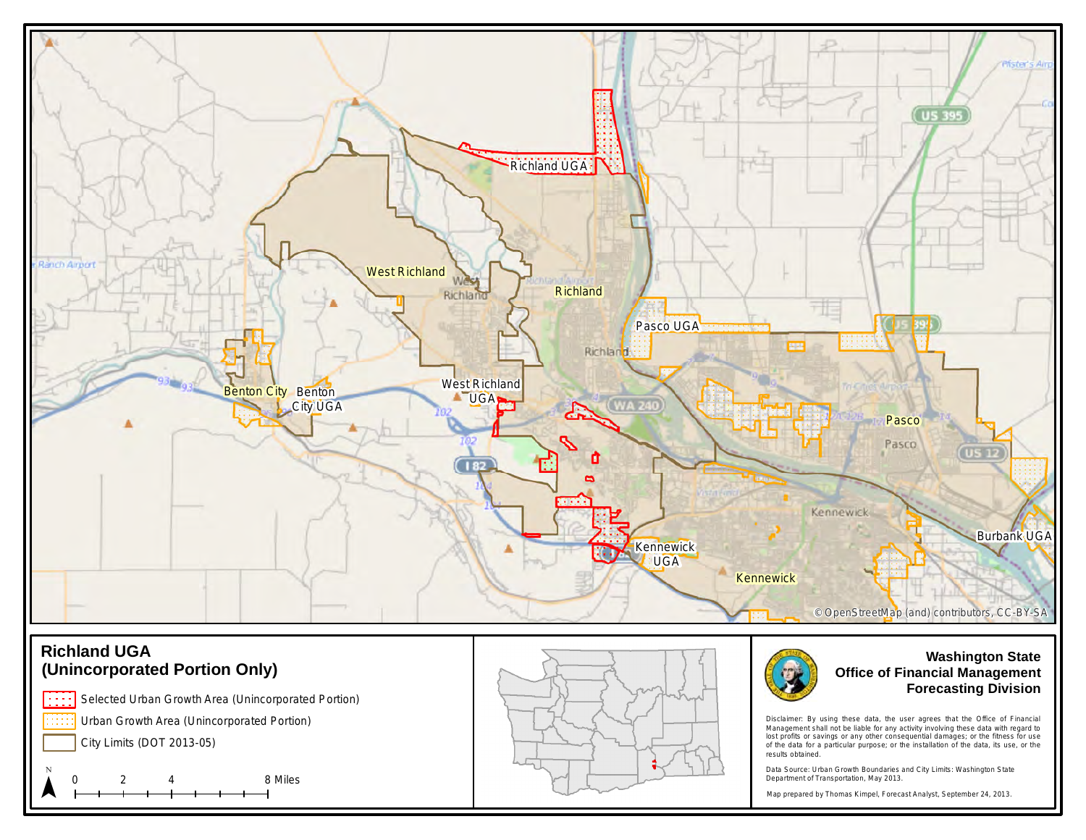

## **(Unincorporated Portion Only)**

m Selected Urban Growth Area (Unincorporated Portion) Urban Growth Area (Unincorporated Portion)

City Limits (DOT 2013-05)

 $\begin{array}{cccccccccccc}\nN & 0 & 2 & 4 & 8 \text{ Miles} \\
\leftarrow & & & & & & \\
\end{array}$ 



### **Office of Financial Management Forecasting Division**

Disclaimer: By using these data, the user agrees that the Office of Financial Management shall not be liable for any activity involving these data with regard to lost profits or savings or any other consequential damages; or the fitness for use of the data for a particular purpose; or the installation of the data, its use, or the results obtained.

Data Source: Urban Growth Boundaries and City Limits: Washington State Department of Transportation, May 2013.